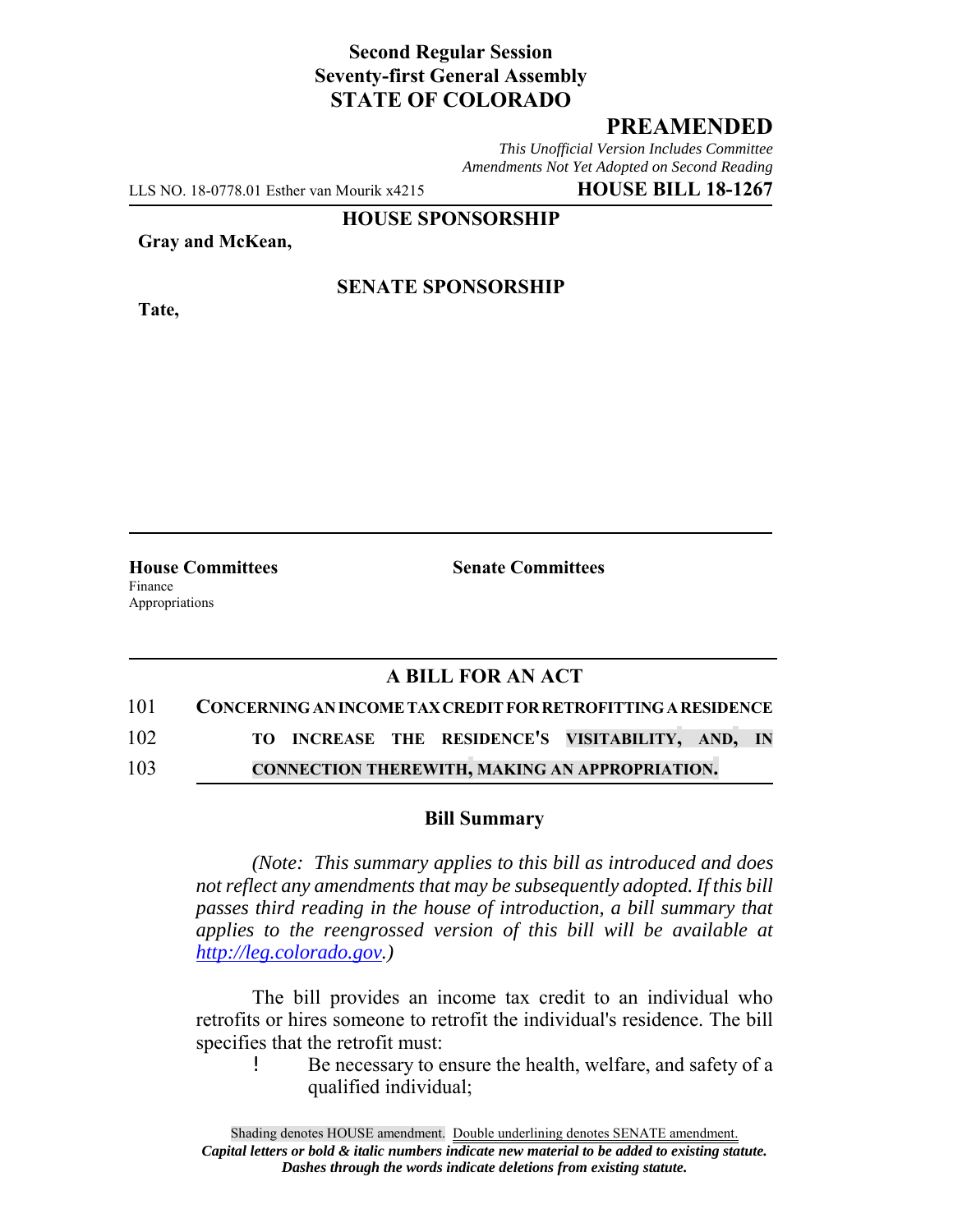# **Second Regular Session Seventy-first General Assembly STATE OF COLORADO**

# **PREAMENDED**

*This Unofficial Version Includes Committee Amendments Not Yet Adopted on Second Reading*

LLS NO. 18-0778.01 Esther van Mourik x4215 **HOUSE BILL 18-1267**

**HOUSE SPONSORSHIP**

**Gray and McKean,**

**Tate,**

**SENATE SPONSORSHIP**

**House Committees Senate Committees** Finance Appropriations

### **A BILL FOR AN ACT**

# 101 **CONCERNING AN INCOME TAX CREDIT FOR RETROFITTING A RESIDENCE**

102 **TO INCREASE THE RESIDENCE'S VISITABILITY, AND, IN**

103 **CONNECTION THEREWITH, MAKING AN APPROPRIATION.**

#### **Bill Summary**

*(Note: This summary applies to this bill as introduced and does not reflect any amendments that may be subsequently adopted. If this bill passes third reading in the house of introduction, a bill summary that applies to the reengrossed version of this bill will be available at http://leg.colorado.gov.)*

The bill provides an income tax credit to an individual who retrofits or hires someone to retrofit the individual's residence. The bill specifies that the retrofit must:

> Be necessary to ensure the health, welfare, and safety of a qualified individual;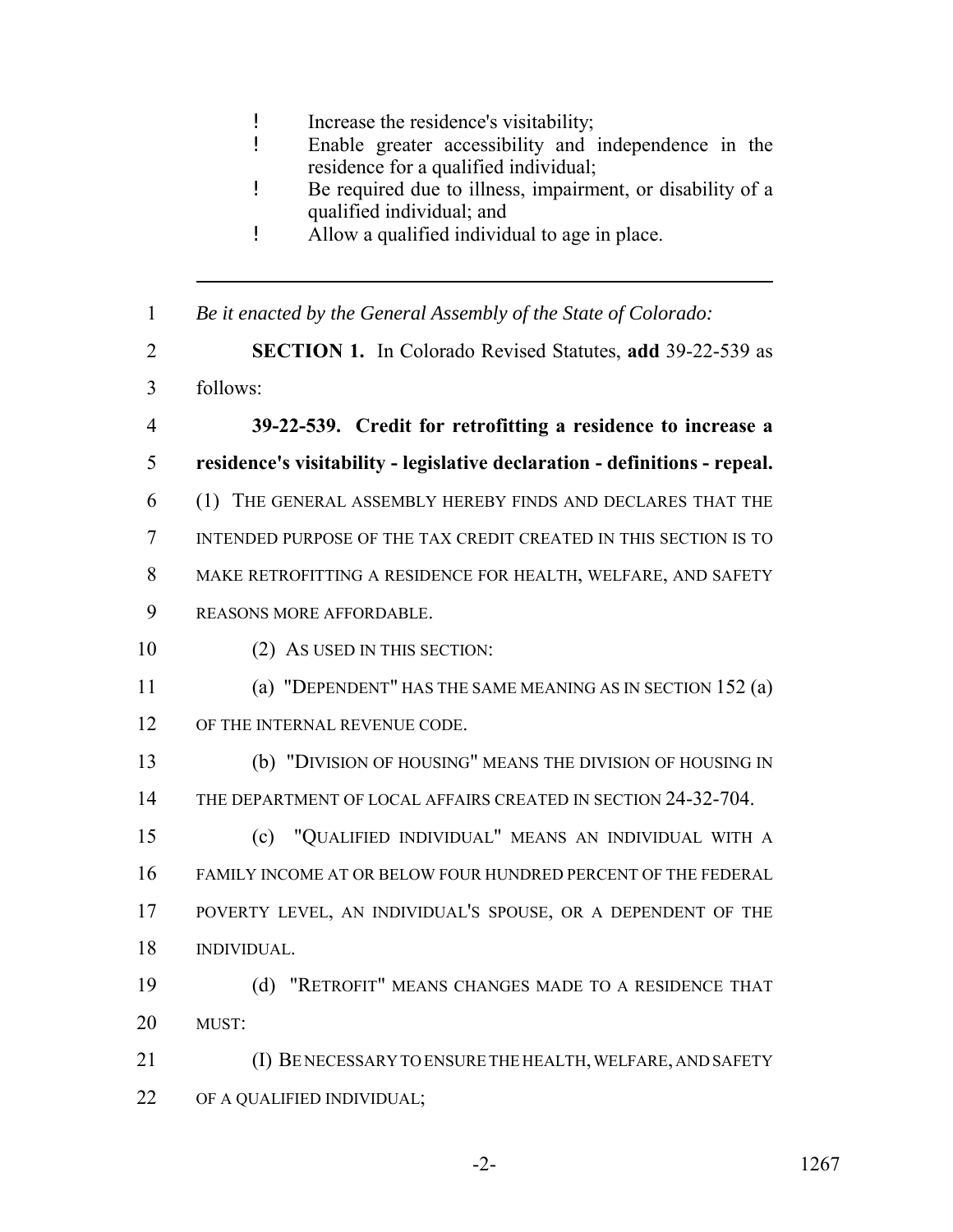- ! Increase the residence's visitability;
- ! Enable greater accessibility and independence in the residence for a qualified individual;
- ! Be required due to illness, impairment, or disability of a qualified individual; and
- ! Allow a qualified individual to age in place.
- *Be it enacted by the General Assembly of the State of Colorado:*
- **SECTION 1.** In Colorado Revised Statutes, **add** 39-22-539 as
- follows:
- **39-22-539. Credit for retrofitting a residence to increase a**
- **residence's visitability legislative declaration definitions repeal.**
- (1) THE GENERAL ASSEMBLY HEREBY FINDS AND DECLARES THAT THE
- INTENDED PURPOSE OF THE TAX CREDIT CREATED IN THIS SECTION IS TO
- MAKE RETROFITTING A RESIDENCE FOR HEALTH, WELFARE, AND SAFETY
- REASONS MORE AFFORDABLE.
- 10 (2) AS USED IN THIS SECTION:
- (a) "DEPENDENT" HAS THE SAME MEANING AS IN SECTION 152 (a) OF THE INTERNAL REVENUE CODE.
- (b) "DIVISION OF HOUSING" MEANS THE DIVISION OF HOUSING IN THE DEPARTMENT OF LOCAL AFFAIRS CREATED IN SECTION 24-32-704.
- (c) "QUALIFIED INDIVIDUAL" MEANS AN INDIVIDUAL WITH A FAMILY INCOME AT OR BELOW FOUR HUNDRED PERCENT OF THE FEDERAL POVERTY LEVEL, AN INDIVIDUAL'S SPOUSE, OR A DEPENDENT OF THE INDIVIDUAL.
- (d) "RETROFIT" MEANS CHANGES MADE TO A RESIDENCE THAT 20 MUST
- (I) BE NECESSARY TO ENSURE THE HEALTH, WELFARE, AND SAFETY 22 OF A QUALIFIED INDIVIDUAL;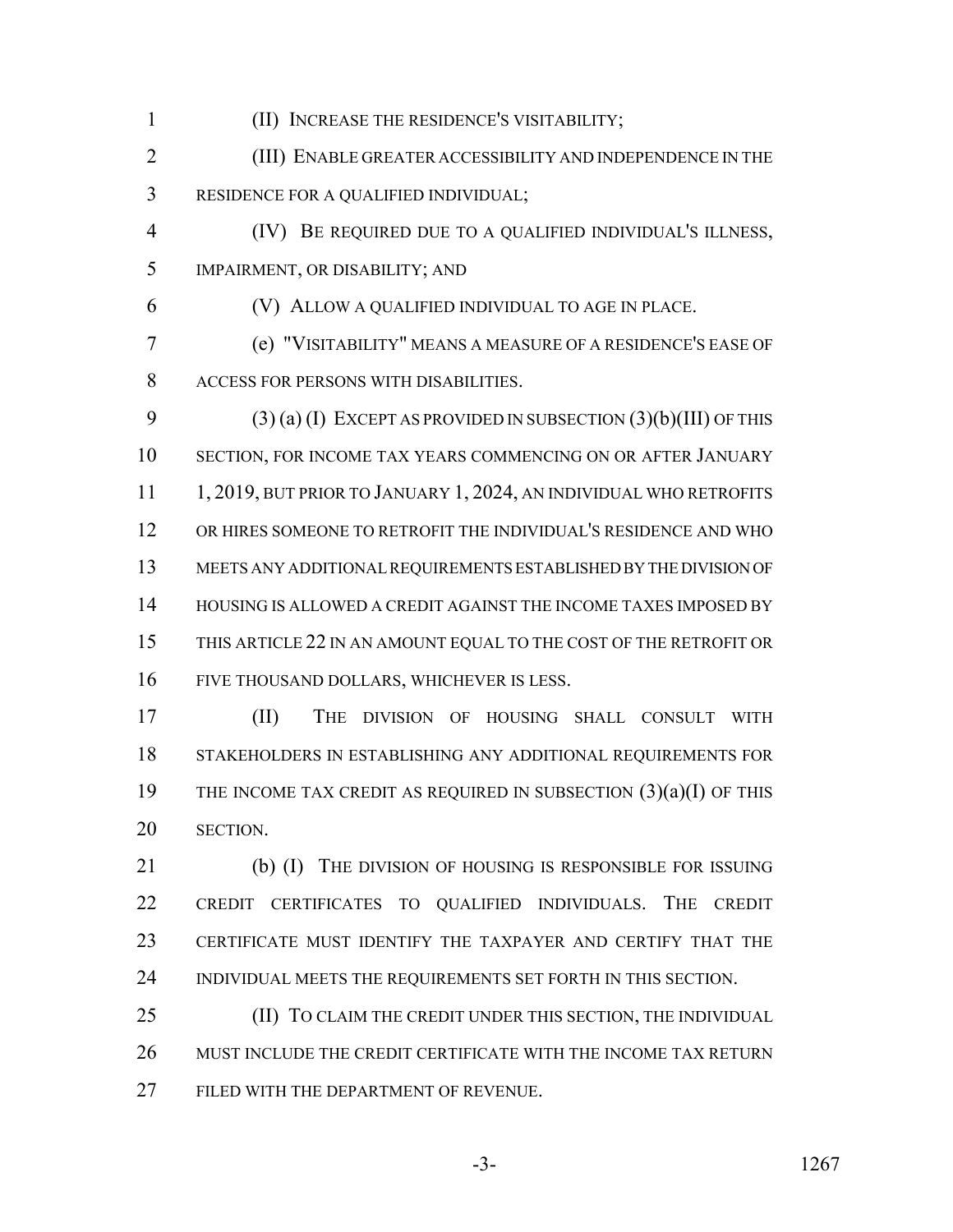(II) INCREASE THE RESIDENCE'S VISITABILITY;

 (III) ENABLE GREATER ACCESSIBILITY AND INDEPENDENCE IN THE RESIDENCE FOR A QUALIFIED INDIVIDUAL;

 (IV) BE REQUIRED DUE TO A QUALIFIED INDIVIDUAL'S ILLNESS, IMPAIRMENT, OR DISABILITY; AND

(V) ALLOW A QUALIFIED INDIVIDUAL TO AGE IN PLACE.

 (e) "VISITABILITY" MEANS A MEASURE OF A RESIDENCE'S EASE OF ACCESS FOR PERSONS WITH DISABILITIES.

 (3) (a) (I) EXCEPT AS PROVIDED IN SUBSECTION (3)(b)(III) OF THIS SECTION, FOR INCOME TAX YEARS COMMENCING ON OR AFTER JANUARY 11 1, 2019, BUT PRIOR TO JANUARY 1, 2024, AN INDIVIDUAL WHO RETROFITS OR HIRES SOMEONE TO RETROFIT THE INDIVIDUAL'S RESIDENCE AND WHO MEETS ANY ADDITIONAL REQUIREMENTS ESTABLISHED BY THE DIVISION OF 14 HOUSING IS ALLOWED A CREDIT AGAINST THE INCOME TAXES IMPOSED BY THIS ARTICLE 22 IN AN AMOUNT EQUAL TO THE COST OF THE RETROFIT OR FIVE THOUSAND DOLLARS, WHICHEVER IS LESS.

 (II) THE DIVISION OF HOUSING SHALL CONSULT WITH STAKEHOLDERS IN ESTABLISHING ANY ADDITIONAL REQUIREMENTS FOR THE INCOME TAX CREDIT AS REQUIRED IN SUBSECTION (3)(a)(I) OF THIS SECTION.

21 (b) (I) THE DIVISION OF HOUSING IS RESPONSIBLE FOR ISSUING CREDIT CERTIFICATES TO QUALIFIED INDIVIDUALS. THE CREDIT CERTIFICATE MUST IDENTIFY THE TAXPAYER AND CERTIFY THAT THE INDIVIDUAL MEETS THE REQUIREMENTS SET FORTH IN THIS SECTION.

25 (II) TO CLAIM THE CREDIT UNDER THIS SECTION, THE INDIVIDUAL MUST INCLUDE THE CREDIT CERTIFICATE WITH THE INCOME TAX RETURN FILED WITH THE DEPARTMENT OF REVENUE.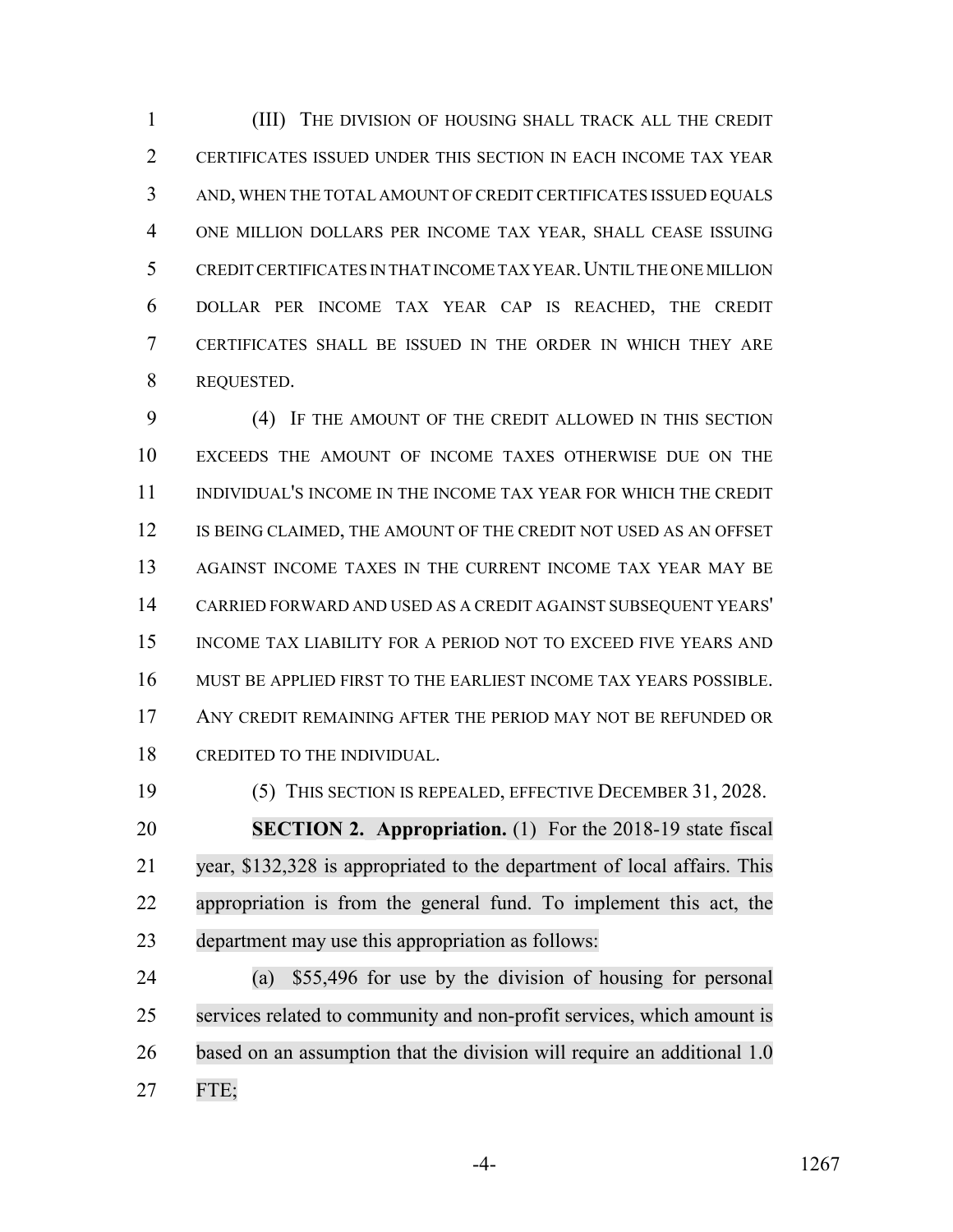(III) THE DIVISION OF HOUSING SHALL TRACK ALL THE CREDIT CERTIFICATES ISSUED UNDER THIS SECTION IN EACH INCOME TAX YEAR AND, WHEN THE TOTAL AMOUNT OF CREDIT CERTIFICATES ISSUED EQUALS ONE MILLION DOLLARS PER INCOME TAX YEAR, SHALL CEASE ISSUING CREDIT CERTIFICATES IN THAT INCOME TAX YEAR.UNTIL THE ONE MILLION DOLLAR PER INCOME TAX YEAR CAP IS REACHED, THE CREDIT CERTIFICATES SHALL BE ISSUED IN THE ORDER IN WHICH THEY ARE REQUESTED.

 (4) IF THE AMOUNT OF THE CREDIT ALLOWED IN THIS SECTION EXCEEDS THE AMOUNT OF INCOME TAXES OTHERWISE DUE ON THE INDIVIDUAL'S INCOME IN THE INCOME TAX YEAR FOR WHICH THE CREDIT 12 IS BEING CLAIMED, THE AMOUNT OF THE CREDIT NOT USED AS AN OFFSET 13 AGAINST INCOME TAXES IN THE CURRENT INCOME TAX YEAR MAY BE CARRIED FORWARD AND USED AS A CREDIT AGAINST SUBSEQUENT YEARS' INCOME TAX LIABILITY FOR A PERIOD NOT TO EXCEED FIVE YEARS AND MUST BE APPLIED FIRST TO THE EARLIEST INCOME TAX YEARS POSSIBLE. ANY CREDIT REMAINING AFTER THE PERIOD MAY NOT BE REFUNDED OR CREDITED TO THE INDIVIDUAL.

 (5) THIS SECTION IS REPEALED, EFFECTIVE DECEMBER 31, 2028. **SECTION 2. Appropriation.** (1) For the 2018-19 state fiscal year, \$132,328 is appropriated to the department of local affairs. This appropriation is from the general fund. To implement this act, the department may use this appropriation as follows:

 (a) \$55,496 for use by the division of housing for personal services related to community and non-profit services, which amount is based on an assumption that the division will require an additional 1.0 FTE;